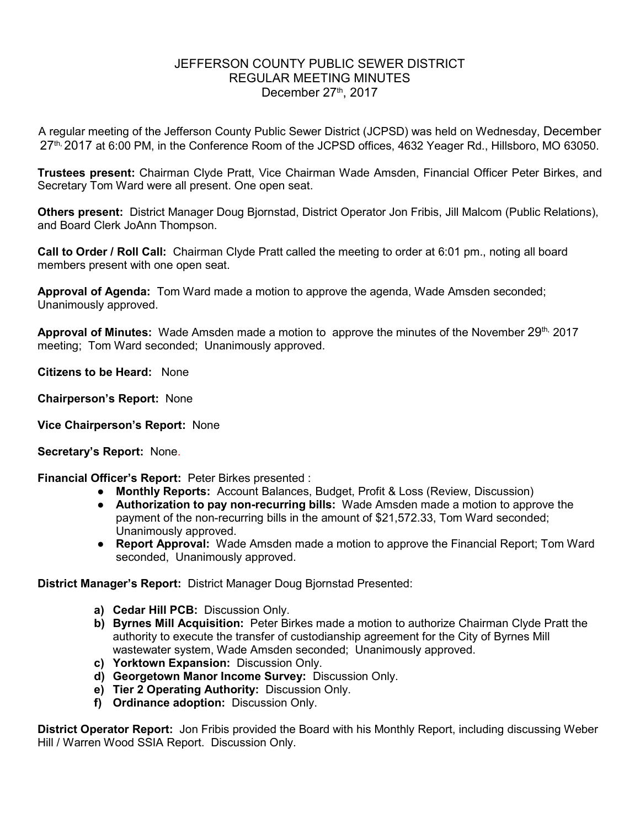## JEFFERSON COUNTY PUBLIC SEWER DISTRICT REGULAR MEETING MINUTES December  $27<sup>th</sup>$ , 2017

A regular meeting of the Jefferson County Public Sewer District (JCPSD) was held on Wednesday, December 27<sup>th, 2</sup>017 at 6:00 PM, in the Conference Room of the JCPSD offices, 4632 Yeager Rd., Hillsboro, MO 63050.

**Trustees present:** Chairman Clyde Pratt, Vice Chairman Wade Amsden, Financial Officer Peter Birkes, and Secretary Tom Ward were all present. One open seat.

**Others present:** District Manager Doug Bjornstad, District Operator Jon Fribis, Jill Malcom (Public Relations), and Board Clerk JoAnn Thompson.

**Call to Order / Roll Call:** Chairman Clyde Pratt called the meeting to order at 6:01 pm., noting all board members present with one open seat.

**Approval of Agenda:** Tom Ward made a motion to approve the agenda, Wade Amsden seconded; Unanimously approved.

Approval of Minutes: Wade Amsden made a motion to approve the minutes of the November 29<sup>th,</sup> 2017 meeting; Tom Ward seconded; Unanimously approved.

**Citizens to be Heard:** None

**Chairperson's Report:** None

**Vice Chairperson's Report:** None

**Secretary's Report:** None.

**Financial Officer's Report:** Peter Birkes presented :

- **Monthly Reports:** Account Balances, Budget, Profit & Loss (Review, Discussion)
- **Authorization to pay non-recurring bills:** Wade Amsden made a motion to approve the payment of the non-recurring bills in the amount of \$21,572.33, Tom Ward seconded; Unanimously approved.
- **Report Approval:** Wade Amsden made a motion to approve the Financial Report; Tom Ward seconded, Unanimously approved.

**District Manager's Report:** District Manager Doug Bjornstad Presented:

- **a) Cedar Hill PCB:** Discussion Only.
- **b) Byrnes Mill Acquisition:** Peter Birkes made a motion to authorize Chairman Clyde Pratt the authority to execute the transfer of custodianship agreement for the City of Byrnes Mill wastewater system, Wade Amsden seconded; Unanimously approved.
- **c) Yorktown Expansion:** Discussion Only.
- **d) Georgetown Manor Income Survey:** Discussion Only.
- **e) Tier 2 Operating Authority:** Discussion Only.
- **f) Ordinance adoption:** Discussion Only.

**District Operator Report:** Jon Fribis provided the Board with his Monthly Report, including discussing Weber Hill / Warren Wood SSIA Report. Discussion Only.